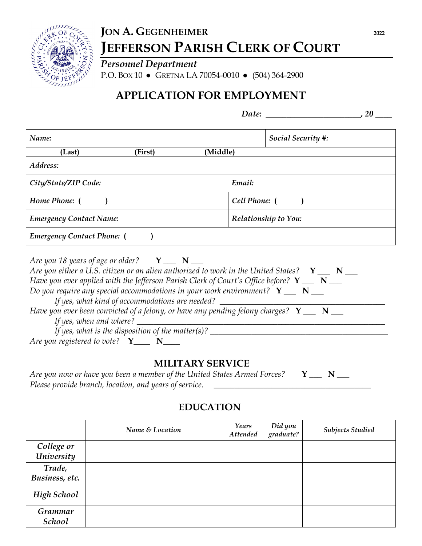

# **JON A. GEGENHEIMER** 2022 **JEFFERSON PARISH CLERK OF COURT**

*Personnel Department* P.O. BOX 10 ● GRETNA LA 70054-0010 ● (504) 364-2900

# **APPLICATION FOR EMPLOYMENT**

| Date: |  |
|-------|--|
|       |  |

| Name:                             |               | <b>Social Security #:</b> |  |  |
|-----------------------------------|---------------|---------------------------|--|--|
| (First)<br>(Last)                 | (Middle)      |                           |  |  |
| Address:                          |               |                           |  |  |
| City/State/ZIP Code:              | Email:        |                           |  |  |
| Home Phone: (                     | Cell Phone: ( |                           |  |  |
| <b>Emergency Contact Name:</b>    |               | Relationship to You:      |  |  |
| <b>Emergency Contact Phone:</b> ( |               |                           |  |  |

| Are you 18 years of age or older? $Y \_ N \_ N$                                                         |
|---------------------------------------------------------------------------------------------------------|
| Are you either a U.S. citizen or an alien authorized to work in the United States? $Y \_ N \_ N$        |
| Have you ever applied with the Jefferson Parish Clerk of Court's Office before? $Y_{\perp}$ $N_{\perp}$ |
| Do you require any special accommodations in your work environment? $Y_{\perp}$ $N_{\perp}$             |
| If yes, what kind of accommodations are needed?                                                         |
| Have you ever been convicted of a felony, or have any pending felony charges? $Y \_ N \_ N$             |
| If yes, when and where? $\overline{\phantom{a}}$                                                        |
| If yes, what is the disposition of the matter(s)? $\qquad$                                              |
| Are you registered to vote? $Y_{\text{max}} N_{\text{max}}$                                             |

#### **MILITARY SERVICE**

| Are you now or have you been a member of the United States Armed Forces? $\mathbf{Y}$ $\mathbf{X}$ |  |  |
|----------------------------------------------------------------------------------------------------|--|--|
| Please provide branch, location, and years of service.                                             |  |  |

## **EDUCATION**

|                    | Name & Location | Years<br><b>Attended</b> | Did you<br>graduate? | <b>Subjects Studied</b> |
|--------------------|-----------------|--------------------------|----------------------|-------------------------|
| College or         |                 |                          |                      |                         |
| University         |                 |                          |                      |                         |
| Trade,             |                 |                          |                      |                         |
| Business, etc.     |                 |                          |                      |                         |
| <b>High School</b> |                 |                          |                      |                         |
| Grammar<br>School  |                 |                          |                      |                         |